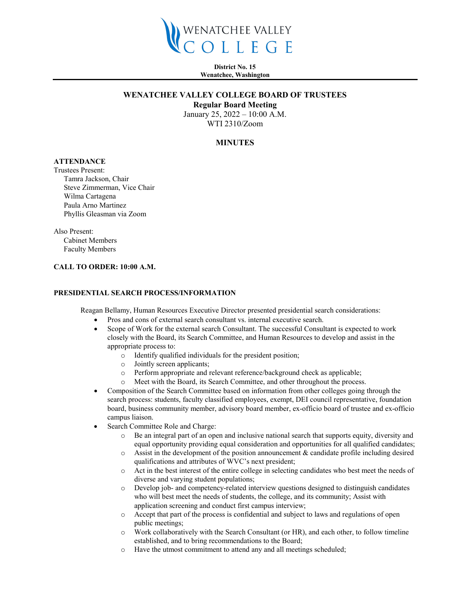

**District No. 15 Wenatchee, Washington**

### **WENATCHEE VALLEY COLLEGE BOARD OF TRUSTEES**

**Regular Board Meeting**

January 25, 2022 – 10:00 A.M. WTI 2310/Zoom

# **MINUTES**

# **ATTENDANCE**

Trustees Present: Tamra Jackson, Chair Steve Zimmerman, Vice Chair Wilma Cartagena Paula Arno Martinez Phyllis Gleasman via Zoom

Also Present: Cabinet Members Faculty Members

## **CALL TO ORDER: 10:00 A.M.**

#### **PRESIDENTIAL SEARCH PROCESS/INFORMATION**

Reagan Bellamy, Human Resources Executive Director presented presidential search considerations:

- Pros and cons of external search consultant vs. internal executive search.
- Scope of Work for the external search Consultant. The successful Consultant is expected to work closely with the Board, its Search Committee, and Human Resources to develop and assist in the appropriate process to:
	- o Identify qualified individuals for the president position;
	- o Jointly screen applicants;
	- o Perform appropriate and relevant reference/background check as applicable;<br>  $\circ$  Meet with the Board, its Search Committee, and other throughout the process
	- Meet with the Board, its Search Committee, and other throughout the process.
- Composition of the Search Committee based on information from other colleges going through the search process: students, faculty classified employees, exempt, DEI council representative, foundation board, business community member, advisory board member, ex-officio board of trustee and ex-officio campus liaison.
- Search Committee Role and Charge:
	- o Be an integral part of an open and inclusive national search that supports equity, diversity and equal opportunity providing equal consideration and opportunities for all qualified candidates;
	- $\circ$  Assist in the development of the position announcement & candidate profile including desired qualifications and attributes of WVC's next president;
	- o Act in the best interest of the entire college in selecting candidates who best meet the needs of diverse and varying student populations;
	- o Develop job- and competency-related interview questions designed to distinguish candidates who will best meet the needs of students, the college, and its community; Assist with application screening and conduct first campus interview;
	- o Accept that part of the process is confidential and subject to laws and regulations of open public meetings;
	- $\circ$  Work collaboratively with the Search Consultant (or HR), and each other, to follow timeline established, and to bring recommendations to the Board;
	- o Have the utmost commitment to attend any and all meetings scheduled;